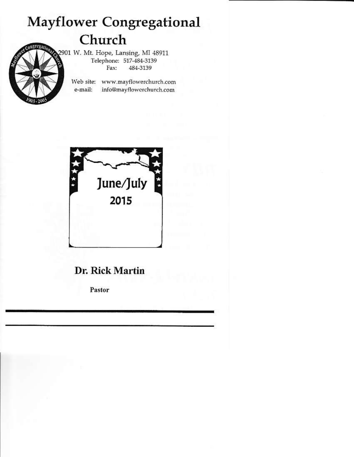# Mayflower Congregational Church

2901 W. Mt. Hope, Lansing, MI 48911 Telephone: 517-484-3139 Fax: 484-3139

> Web site: www.mayflowerchurch.com<br>e-mail: info@mayflowerchurch.com info@mayflowerchurch.com



### Dr. Rick Martin

Pastor

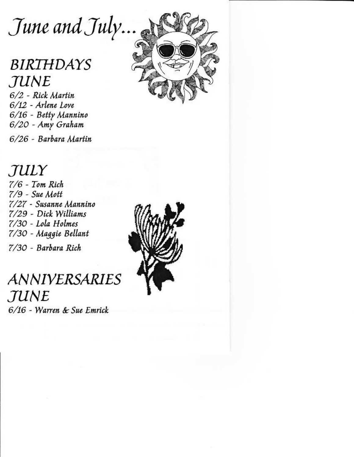# June and July.

# **BIRTHDAYS** *JUNE*

6/2 - Rick Martin  $6/12$  - Arlene Love 6/16 - Betty Mannino 6/20 - Amy Graham 6/26 - Barbara Martin

## *JULY*

 $7/6$  - Tom Rich  $7/9$  - Sue Mott 7/27 - Susanne Mannino 7/29 - Dick Williams 7/30 - Lola Holmes 7/30 - Maggie Bellant 7/30 - Barbara Rich

### ANNIVERSARIES *JUNE* 6/16 - Warren & Sue Emrick



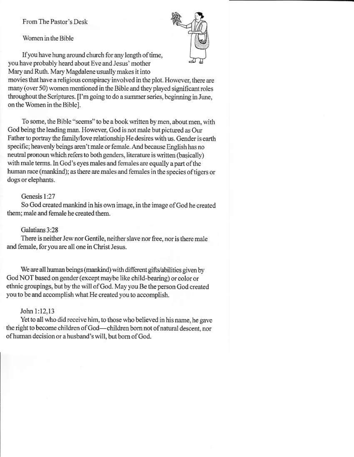From The Pastor's Desk

Women in the Bible



If you have hung around church for any length of time, you have probably heard about Eve and Jesus' mother Mary and Ruth. Mary Magdalene usually makes it into

movies that have a religious conspiracy involved in the plot. However, there are many (over 50) women mentioned in the Bible and they played significant roles throughout the Scriptures. [I'm going to do a summer series, beginning in June, on the Women in the Bible].

To some, the Bible "seems" to be a book written by men, about men, with God being the leading man. However, God is not male but pictured as Our Father to portray the family/love relationship He desires with us. Gender is earth specific; heavenly beings aren't male or female. And because English has no neutral pronoun which refers to both genders, literature is written (basically) with male terms. In God's eyes males and females are equally a part of the human race (mankind); as there are males and females in the species of tigers or dogs or elephants.

#### Genesis 1:27

So God created mankind in his own image, in the image of God he created them; male and female he created them.

#### Galatians 3:28

There is neither Jew nor Gentile, neither slave nor free, nor is there male and female, for you are all one in Christ Jesus.

We are all human beings (mankind) with different gifts/abilities given by God NOT based on gender (except maybe like child-bearing) or color or ethnic groupings, but by the will of God. May you Be the person God created you to be and accomplish what He created you to accomplish.

#### John 1:12,13

Yet to all who did receive him, to those who believed in his name, he gave the right to become children of God-children born not of natural descent, nor of human decision or a husband's will, but born of God.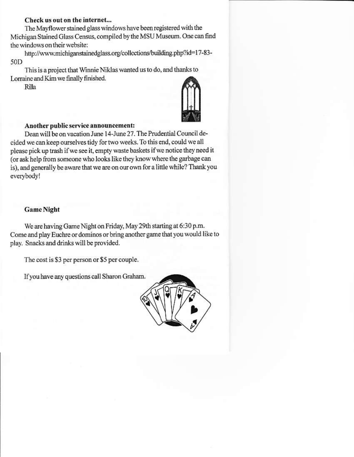#### Check us out on the internet...

The Mayflower stained glass windows have been registered with the Michigan Stained Glass Census, compiled by the MSU Museum. One can find the windows on their website:

http://www.michiganstainedglass.org/collections/building.php?id=17-83-50<sub>D</sub>

This is a project that Winnie Niklas wanted us to do, and thanks to Lorraine and Kim we finally finished.

Rilla



#### Another public service announcement:

Dean will be on vacation June 14-June 27. The Prudential Council decided we can keep ourselves tidy for two weeks. To this end, could we all please pick up trash if we see it, empty waste baskets if we notice they need it (or ask help from someone who looks like they know where the garbage can is), and generally be aware that we are on our own for a little while? Thank you everybody!

#### **Game Night**

We are having Game Night on Friday, May 29th starting at 6:30 p.m. Come and play Euchre or dominos or bring another game that you would like to play. Snacks and drinks will be provided.

The cost is \$3 per person or \$5 per couple.

If you have any questions call Sharon Graham.

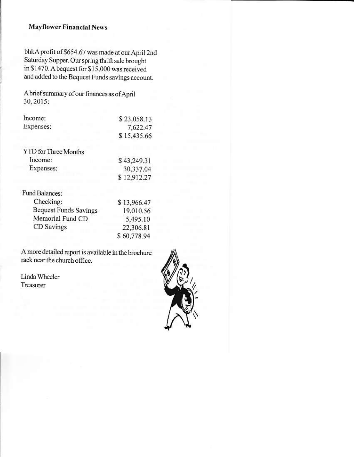#### **Mayflower Financial News**

bhkA profit of \$654.67 was made at our April 2nd Saturday Supper. Our spring thrift sale brought in \$1470. A bequest for \$15,000 was received and added to the Bequest Funds savings account.

A brief summary of our finances as of April 30, 2015:

| Income:              | \$23,058.13 |
|----------------------|-------------|
| Expenses:            | 7,622.47    |
|                      | \$15,435.66 |
| YTD for Three Months |             |
| Income:              | \$43,249.31 |
| Expenses:            | 30,337.04   |
|                      | \$12,912.27 |

| Fund Balances:               |             |
|------------------------------|-------------|
| Checking:                    | \$13,966.47 |
| <b>Bequest Funds Savings</b> | 19,010.56   |
| Memorial Fund CD             | 5,495.10    |
| CD Savings                   | 22,306.81   |
|                              | \$60.778.94 |

A more detailed report is available in the brochure rack near the church office.

Linda Wheeler Treasurer

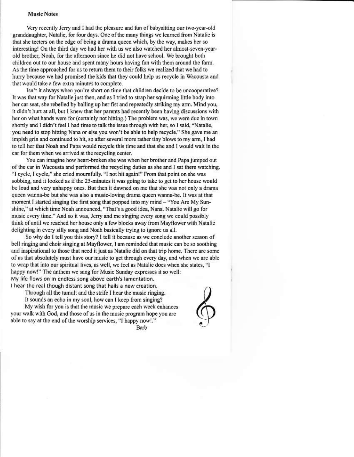#### **Music Notes**

Very recently Jerry and I had the pleasure and fun of babysitting our two-year-old granddaughter, Natalie, for four days. One of the many things we learned from Natalie is that she teeters on the edge of being a drama queen which, by the way, makes her so interesting! On the third day we had her with us we also watched her almost-seven-yearold brother, Noah, for the afternoon since he did not have school. We brought both children out to our house and spent many hours having fun with them around the farm. As the time approached for us to return them to their folks we realized that we had to hurry because we had promised the kids that they could help us recycle in Wacousta and that would take a few extra minutes to complete.

Isn't it always when you're short on time that children decide to be uncooperative? It was that way for Natalie just then, and as I tried to strap her squirming little body into her car seat, she rebelled by balling up her fist and repeatedly striking my arm. Mind you, it didn't hurt at all, but I knew that her parents had recently been having discussions with her on what hands were for (certainly not hitting.) The problem was, we were due in town shortly and I didn't feel I had time to talk the issue through with her, so I said, "Natalie, you need to stop hitting Nana or else you won't be able to help recycle." She gave me an impish grin and continued to hit, so after several more rather tiny blows to my arm, I had to tell her that Noah and Papa would recycle this time and that she and I would wait in the car for them when we arrived at the recycling center.

You can imagine how heart-broken she was when her brother and Papa jumped out of the car in Wacousta and performed the recycling duties as she and I sat there watching. "I cycle, I cycle," she cried mournfully. "I not hit again!" From that point on she was sobbing, and it looked as if the 25-minutes it was going to take to get to her house would be loud and very unhappy ones. But then it dawned on me that she was not only a drama queen wanna-be but she was also a music-loving drama queen wanna-be. It was at that moment I started singing the first song that popped into my mind - "You Are My Sunshine," at which time Noah announced, "That's a good idea, Nana. Natalie will go for music every time." And so it was, Jerry and me singing every song we could possibly think of until we reached her house only a few blocks away from Mayflower with Natalie delighting in every silly song and Noah basically trying to ignore us all.

So why do I tell you this story? I tell it because as we conclude another season of bell ringing and choir singing at Mayflower, I am reminded that music can be so soothing and inspirational to those that need it just as Natalie did on that trip home. There are some of us that absolutely must have our music to get through every day, and when we are able to wrap that into our spiritual lives, as well, we feel as Natalie does when she states, "I happy now!" The anthem we sang for Music Sunday expresses it so well: My life flows on in endless song above earth's lamentation.

I hear the real though distant song that hails a new creation.

Through all the tumult and the strife I hear the music ringing.

It sounds an echo in my soul, how can I keep from singing?

My wish for you is that the music we prepare each week enhances your walk with God, and those of us in the music program hope you are able to say at the end of the worship services. "I happy now!."

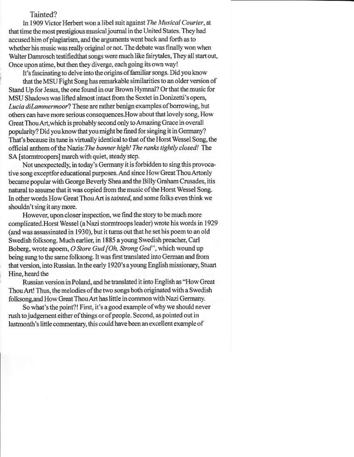Tainted?

In 1909 Victor Herbert won a libel suit against The Musical Courier, at that time the most prestigious musical journal in the United States. They had accused him of plagiarism, and the arguments went back and forth as to whether his music was really original or not. The debate was finally won when Walter Damrosch testifiedthat songs were much like fairytales, They all start out, Once upon atime, but then they diverge, each going its own way!

It's fascinating to delve into the origins of familiar songs. Did you know

that the MSU Fight Song has remarkable similarities to an older version of Stand Up for Jesus, the one found in our Brown Hymnal? Or that the music for MSU Shadows was lifted almost intact from the Sextet in Donizetti's opera, Lucia diLammermoor? These are rather benign examples of borrowing, but others can have more serious consequences. How about that lovely song, How Great Thou Art, which is probably second only to Amazing Grace in overall popularity? Did you know that you might be fined for singing it in Germany? That's because its tune is virtually identical to that of the Horst Wessel Song, the official anthem of the Nazis: The banner high! The ranks tightly closed! The SA [stormtroopers] march with quiet, steady step.

Not unexpectedly, in today's Germany it is forbidden to sing this provocative song exceptfor educational purposes. And since How Great Thou Artonly became popular with George Beverly Shea and the Billy Graham Crusades, itis natural to assume that it was copied from the music of the Horst Wessel Song. In other words How Great Thou Art is tainted, and some folks even think we shouldn't sing it any more.

However, upon closer inspection, we find the story to be much more complicated.Horst Wessel (a Nazi stormtroops leader) wrote his words in 1929 (and was assassinated in 1930), but it turns out that he set his poem to an old Swedish folksong. Much earlier, in 1885 a young Swedish preacher, Carl Boberg, wrote apoem, O Store Gud [Oh, Strong God", which wound up being sung to the same folksong. It was first translated into German and from that version, into Russian. In the early 1920's a young English missionary, Stuart Hine, heard the

Russian version in Poland, and he translated it into English as "How Great Thou Art! Thus, the melodies of the two songs both originated with a Swedish folksong, and How Great Thou Art has little in common with Nazi Germany.

So what's the point?! First, it's a good example of why we should never rush to judgement either of things or of people. Second, as pointed out in lastmonth's little commentary, this could have been an excellent example of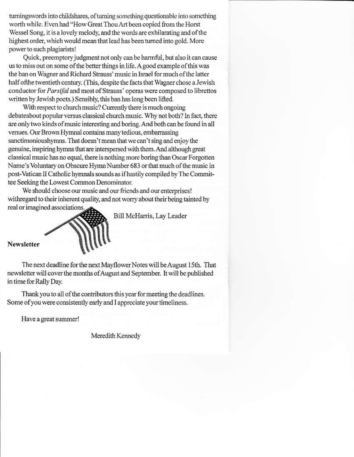turningswords into childshares, of turning something questionable into something worth while. Even had "How Great Thou Art been copied from the Horst Wessel Song, it is a lovely melody, and the words are exhilarating and of the highest order, which would mean that lead has been turned into gold. More power to such plagiarists!

Quick, preemptory judgment not only can be harmful, but also it can cause us to miss out on some of the better things in life. A good example of this was the ban on Wagner and Richard Strauss' music in Israel for much of the latter half of the twentieth century. (This, despite the facts that Wagner chose a Jewish conductor for Parsifal and most of Strauss' operas were composed to librettos written by Jewish poets.) Sensibly, this ban has long been lifted.

With respect to church music? Currently there is much ongoing debateabout popular versus classical church music. Why not both? In fact, there are only two kinds of music interesting and boring. And both can be found in all venues. Our Brown Hymnal contains many tedious, embarrassing sanctimonioushymns. That doesn't mean that we can't sing and enjoy the genuine, inspiring hymns that are interspersed with them. And although great classical music has no equal, there is nothing more boring than Oscar Forgotten Name's Voluntary on Obscure Hymn Number 683 or that much of the music in post-Vatican II Catholic hymnals sounds as if hastily compiled by The Committee Seeking the Lowest Common Denominator.

We should choose our music and our friends and our enterprises! with regard to their inherent quality, and not worry about their being tainted by real or imagined associations



Bill McHarris, Lay Leader

Newsletter

The next deadline for the next Mayflower Notes will be August 15th. That newsletter will cover the months of August and September. It will be published in time for Rally Day.

Thank you to all of the contributors this year for meeting the deadlines. Some of you were consistently early and I appreciate your timeliness.

Have a great summer!

Meredith Kennedy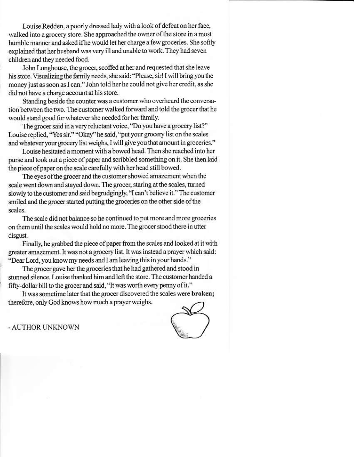Louise Redden, a poorly dressed lady with a look of defeat on her face, walked into a grocery store. She approached the owner of the store in a most humble manner and asked if he would let her charge a few groceries. She softly explained that her husband was very ill and unable to work. They had seven children and they needed food.

John Longhouse, the grocer, scoffed at her and requested that she leave his store. Visualizing the family needs, she said: "Please, sir! I will bring you the money just as soon as I can." John told her he could not give her credit, as she did not have a charge account at his store.

Standing beside the counter was a customer who overheard the conversation between the two. The customer walked forward and told the grocer that he would stand good for whatever she needed for her family.

The grocer said in a very reluctant voice, "Do you have a grocery list?" Louise replied, "Yes sir." "Okay" he said, "put your grocery list on the scales and whatever your grocery list weighs, I will give you that amount in groceries."

Louise hesitated a moment with a bowed head. Then she reached into her purse and took out a piece of paper and scribbled something on it. She then laid the piece of paper on the scale carefully with her head still bowed.

The eyes of the grocer and the customer showed amazement when the scale went down and stayed down. The grocer, staring at the scales, turned slowly to the customer and said begrudgingly, "I can't believe it." The customer smiled and the grocer started putting the groceries on the other side of the scales.

The scale did not balance so he continued to put more and more groceries on them until the scales would hold no more. The grocer stood there in utter disgust.

Finally, he grabbed the piece of paper from the scales and looked at it with greater amazement. It was not a grocery list. It was instead a prayer which said: "Dear Lord, you know my needs and I am leaving this in your hands."

The grocer gave her the groceries that he had gathered and stood in stunned silence. Louise thanked him and left the store. The customer handed a fifty-dollar bill to the grocer and said, "It was worth every penny of it."

It was sometime later that the grocer discovered the scales were broken; therefore, only God knows how much a prayer weighs.

- AUTHOR UNKNOWN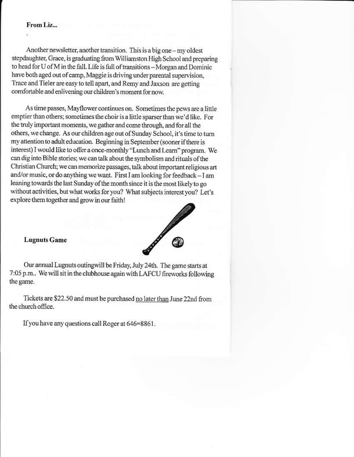#### From Liz...

Another newsletter, another transition. This is a big one - my oldest stepdaughter, Grace, is graduating from Williamston High School and preparing to head for U of M in the fall. Life is full of transitions - Morgan and Dominic have both aged out of camp, Maggie is driving under parental supervision, Trace and Tieler are easy to tell apart, and Remy and Jaxson are getting comfortable and enlivening our children's moment for now.

As time passes, Mayflower continues on. Sometimes the pews are a little emptier than others; sometimes the choir is a little sparser than we'd like. For the truly important moments, we gather and come through, and for all the others, we change. As our children age out of Sunday School, it's time to turn my attention to adult education. Beginning in September (sooner if there is interest) I would like to offer a once-monthly "Lunch and Learn" program. We can dig into Bible stories; we can talk about the symbolism and rituals of the Christian Church; we can memorize passages, talk about important religious art and/or music, or do anything we want. First I am looking for feedback - I am leaning towards the last Sunday of the month since it is the most likely to go without activities, but what works for you? What subjects interest you? Let's explore them together and grow in our faith!

#### **Lugnuts Game**



Our annual Lugnuts outing will be Friday, July 24th. The game starts at 7:05 p.m.. We will sit in the clubhouse again with LAFCU fireworks following the game.

Tickets are \$22.50 and must be purchased no later than June 22nd from the church office.

If you have any questions call Roger at 646=8861.